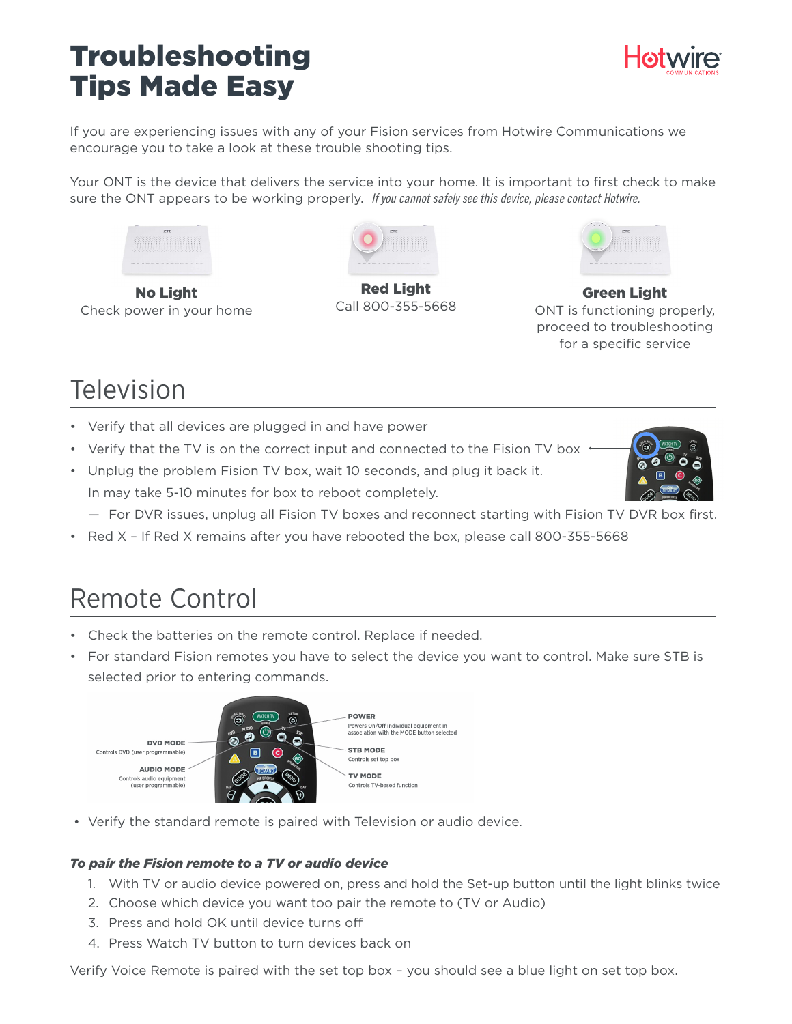## Troubleshooting Tips Made Easy



If you are experiencing issues with any of your Fision services from Hotwire Communications we encourage you to take a look at these trouble shooting tips.

Your ONT is the device that delivers the service into your home. It is important to first check to make sure the ONT appears to be working properly. *If you cannot safely see this device, please contact Hotwire.*



No Light Check power in your home



Red Light Call 800-355-5668



Green Light ONT is functioning properly, proceed to troubleshooting for a specific service

# Television

- Verify that all devices are plugged in and have power
- Verify that the TV is on the correct input and connected to the Fision TV box .
- Unplug the problem Fision TV box, wait 10 seconds, and plug it back it. In may take 5-10 minutes for box to reboot completely.
	- For DVR issues, unplug all Fision TV boxes and reconnect starting with Fision TV DVR box first.
- Red X If Red X remains after you have rebooted the box, please call 800-355-5668

## Remote Control

- Check the batteries on the remote control. Replace if needed.
- For standard Fision remotes you have to select the device you want to control. Make sure STB is selected prior to entering commands.



• Verify the standard remote is paired with Television or audio device.

### *To pair the Fision remote to a TV or audio device*

- 1. With TV or audio device powered on, press and hold the Set-up button until the light blinks twice
- 2. Choose which device you want too pair the remote to (TV or Audio)
- 3. Press and hold OK until device turns off
- 4. Press Watch TV button to turn devices back on

Verify Voice Remote is paired with the set top box – you should see a blue light on set top box.